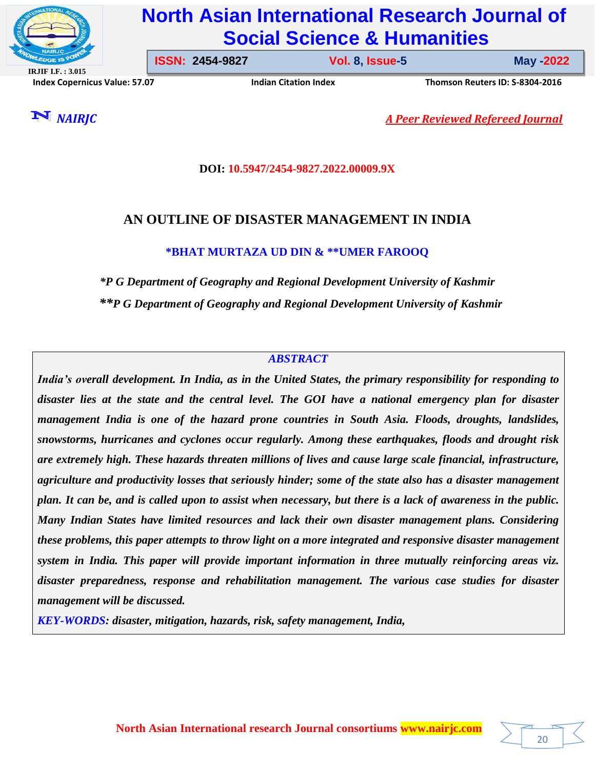

# **North Asian International Research Journal of Social Science & Humanities**

**IRJIF I.F. : 3.015 Index Copernicus Value: 57.07****Indian Citation Index****Thomson Reuters ID: S-8304-2016** 

**ISSN: 2454-9827 Vol. 8, Issue-5** 

**Issue-5 May -2022**

20

*NAIRJC A Peer Reviewed Refereed Journal*

## **DOI: 10.5947/2454-9827.2022.00009.9X**

## **AN OUTLINE OF DISASTER MANAGEMENT IN INDIA**

## **\*BHAT MURTAZA UD DIN & \*\*UMER FAROOQ**

*\*P G Department of Geography and Regional Development University of Kashmir \*\*P G Department of Geography and Regional Development University of Kashmir*

## *ABSTRACT*

*India's overall development. In India, as in the United States, the primary responsibility for responding to disaster lies at the state and the central level. The GOI have a national emergency plan for disaster management India is one of the hazard prone countries in South Asia. Floods, droughts, landslides, snowstorms, hurricanes and cyclones occur regularly. Among these earthquakes, floods and drought risk are extremely high. These hazards threaten millions of lives and cause large scale financial, infrastructure, agriculture and productivity losses that seriously hinder; some of the state also has a disaster management plan. It can be, and is called upon to assist when necessary, but there is a lack of awareness in the public. Many Indian States have limited resources and lack their own disaster management plans. Considering these problems, this paper attempts to throw light on a more integrated and responsive disaster management system in India. This paper will provide important information in three mutually reinforcing areas viz. disaster preparedness, response and rehabilitation management. The various case studies for disaster management will be discussed.*

*KEY-WORDS: disaster, mitigation, hazards, risk, safety management, India,*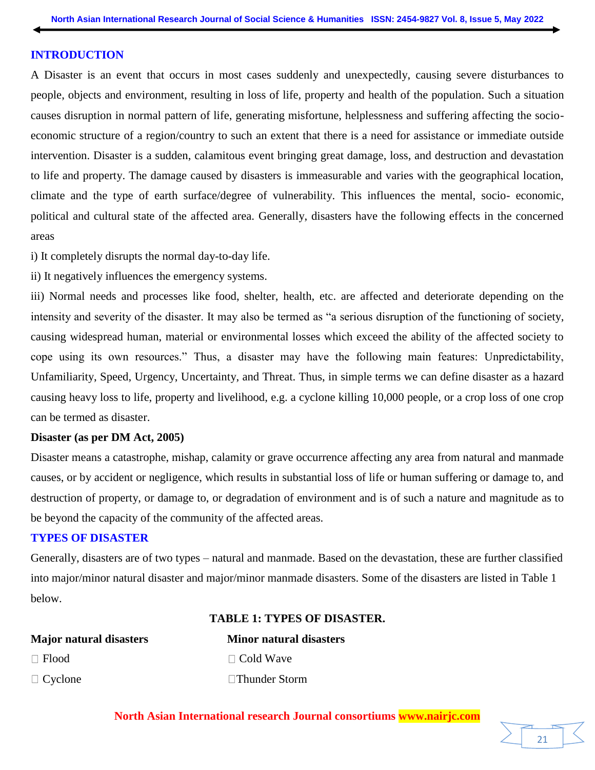#### **INTRODUCTION**

A Disaster is an event that occurs in most cases suddenly and unexpectedly, causing severe disturbances to people, objects and environment, resulting in loss of life, property and health of the population. Such a situation causes disruption in normal pattern of life, generating misfortune, helplessness and suffering affecting the socioeconomic structure of a region/country to such an extent that there is a need for assistance or immediate outside intervention. Disaster is a sudden, calamitous event bringing great damage, loss, and destruction and devastation to life and property. The damage caused by disasters is immeasurable and varies with the geographical location, climate and the type of earth surface/degree of vulnerability. This influences the mental, socio- economic, political and cultural state of the affected area. Generally, disasters have the following effects in the concerned areas

i) It completely disrupts the normal day-to-day life.

ii) It negatively influences the emergency systems.

iii) Normal needs and processes like food, shelter, health, etc. are affected and deteriorate depending on the intensity and severity of the disaster. It may also be termed as "a serious disruption of the functioning of society, causing widespread human, material or environmental losses which exceed the ability of the affected society to cope using its own resources." Thus, a disaster may have the following main features: Unpredictability, Unfamiliarity, Speed, Urgency, Uncertainty, and Threat. Thus, in simple terms we can define disaster as a hazard causing heavy loss to life, property and livelihood, e.g. a cyclone killing 10,000 people, or a crop loss of one crop can be termed as disaster.

#### **Disaster (as per DM Act, 2005)**

Disaster means a catastrophe, mishap, calamity or grave occurrence affecting any area from natural and manmade causes, or by accident or negligence, which results in substantial loss of life or human suffering or damage to, and destruction of property, or damage to, or degradation of environment and is of such a nature and magnitude as to be beyond the capacity of the community of the affected areas.

#### **TYPES OF DISASTER**

Generally, disasters are of two types – natural and manmade. Based on the devastation, these are further classified into major/minor natural disaster and major/minor manmade disasters. Some of the disasters are listed in Table 1 below.

**TABLE 1: TYPES OF DISASTER.**

| <b>Major natural disasters</b> | <b>Minor</b> natura |
|--------------------------------|---------------------|
| $\Box$ Flood                   | $\Box$ Cold Wave    |
| $\Box$ Cyclone                 | $\Box$ Thunder Sto  |

**Major natural disasters Minor natural disasters** ler Storm

**North Asian International research Journal consortiums www.nairjc.com**

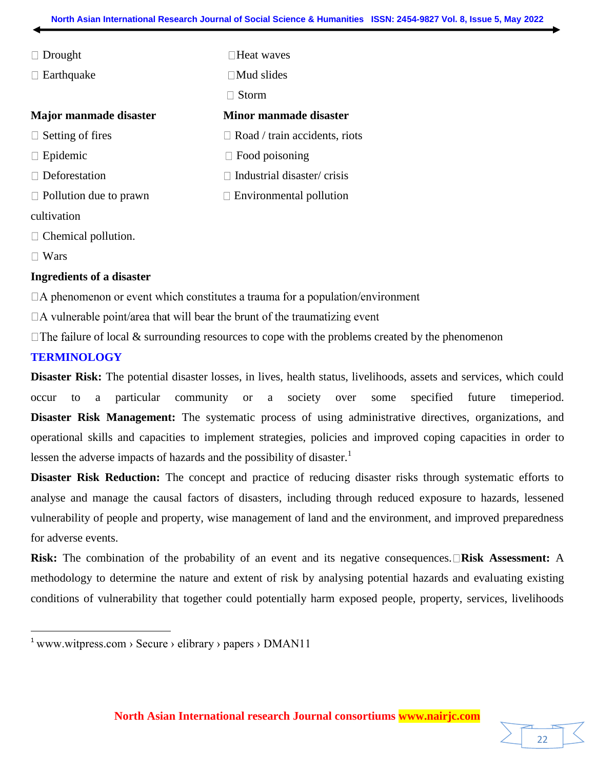| $\Box$ Drought                | $\Box$ Heat waves                    |  |
|-------------------------------|--------------------------------------|--|
| $\Box$ Earthquake             | $\Box$ Mud slides                    |  |
|                               | Storm                                |  |
| <b>Major manmade disaster</b> | Minor manmade disaster               |  |
| $\Box$ Setting of fires       | $\Box$ Road / train accidents, riots |  |
| $\Box$ Epidemic               | $\Box$ Food poisoning                |  |
| $\Box$ Deforestation          | Industrial disaster/crisis           |  |
| $\Box$ Pollution due to prawn | $\Box$ Environmental pollution       |  |
| cultivation                   |                                      |  |

 $\Box$  Chemical pollution.

□ Wars

 $\overline{a}$ 

#### **Ingredients of a disaster**

 $\Box A$  phenomenon or event which constitutes a trauma for a population/environment

 $\Box$  A vulnerable point/area that will bear the brunt of the traumatizing event

 $\Box$  The failure of local & surrounding resources to cope with the problems created by the phenomenon

#### **TERMINOLOGY**

**Disaster Risk:** The potential disaster losses, in lives, health status, livelihoods, assets and services, which could occur to a particular community or a society over some specified future timeperiod. **Disaster Risk Management:** The systematic process of using administrative directives, organizations, and operational skills and capacities to implement strategies, policies and improved coping capacities in order to lessen the adverse impacts of hazards and the possibility of disaster.<sup>1</sup>

**Disaster Risk Reduction:** The concept and practice of reducing disaster risks through systematic efforts to analyse and manage the causal factors of disasters, including through reduced exposure to hazards, lessened vulnerability of people and property, wise management of land and the environment, and improved preparedness for adverse events.

**Risk:** The combination of the probability of an event and its negative consequences. **Risk Assessment:** A methodology to determine the nature and extent of risk by analysing potential hazards and evaluating existing conditions of vulnerability that together could potentially harm exposed people, property, services, livelihoods

<sup>&</sup>lt;sup>1</sup> www.witpress.com > Secure > elibrary > papers >  $DMAN11$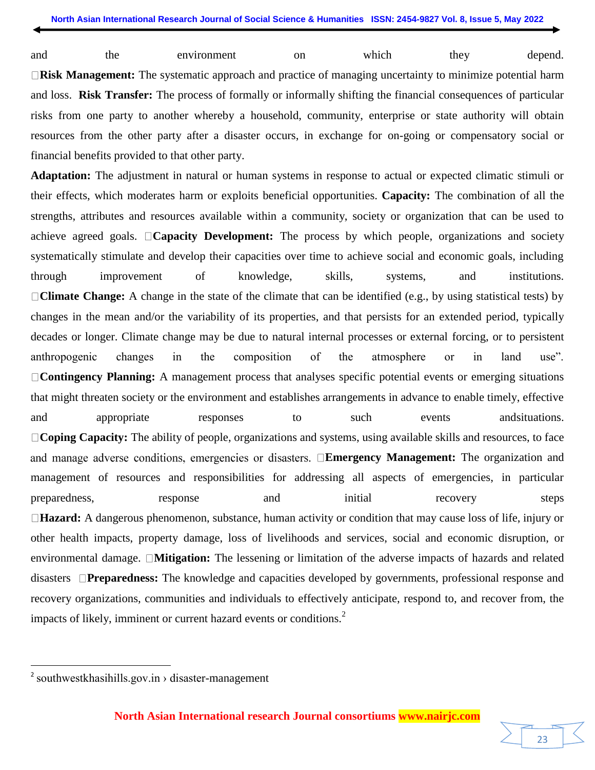and the environment on which they depend. **Risk Management:** The systematic approach and practice of managing uncertainty to minimize potential harm and loss. **Risk Transfer:** The process of formally or informally shifting the financial consequences of particular risks from one party to another whereby a household, community, enterprise or state authority will obtain resources from the other party after a disaster occurs, in exchange for on-going or compensatory social or financial benefits provided to that other party.

**Adaptation:** The adjustment in natural or human systems in response to actual or expected climatic stimuli or their effects, which moderates harm or exploits beneficial opportunities. **Capacity:** The combination of all the strengths, attributes and resources available within a community, society or organization that can be used to achieve agreed goals. **Capacity Development:** The process by which people, organizations and society systematically stimulate and develop their capacities over time to achieve social and economic goals, including through improvement of knowledge, skills, systems, and institutions. **Climate Change:** A change in the state of the climate that can be identified (e.g., by using statistical tests) by changes in the mean and/or the variability of its properties, and that persists for an extended period, typically decades or longer. Climate change may be due to natural internal processes or external forcing, or to persistent anthropogenic changes in the composition of the atmosphere or in land use". **Contingency Planning:** A management process that analyses specific potential events or emerging situations that might threaten society or the environment and establishes arrangements in advance to enable timely, effective and appropriate responses to such events and and appropriate **Coping Capacity:** The ability of people, organizations and systems, using available skills and resources, to face and manage adverse conditions, emergencies or disasters. **Emergency Management:** The organization and management of resources and responsibilities for addressing all aspects of emergencies, in particular preparedness, response and initial recovery steps **Hazard:** A dangerous phenomenon, substance, human activity or condition that may cause loss of life, injury or other health impacts, property damage, loss of livelihoods and services, social and economic disruption, or environmental damage. **Mitigation:** The lessening or limitation of the adverse impacts of hazards and related disasters **Preparedness:** The knowledge and capacities developed by governments, professional response and recovery organizations, communities and individuals to effectively anticipate, respond to, and recover from, the impacts of likely, imminent or current hazard events or conditions.<sup>2</sup>

l



 $2$  southwestkhasihills.gov.in  $\rightarrow$  disaster-management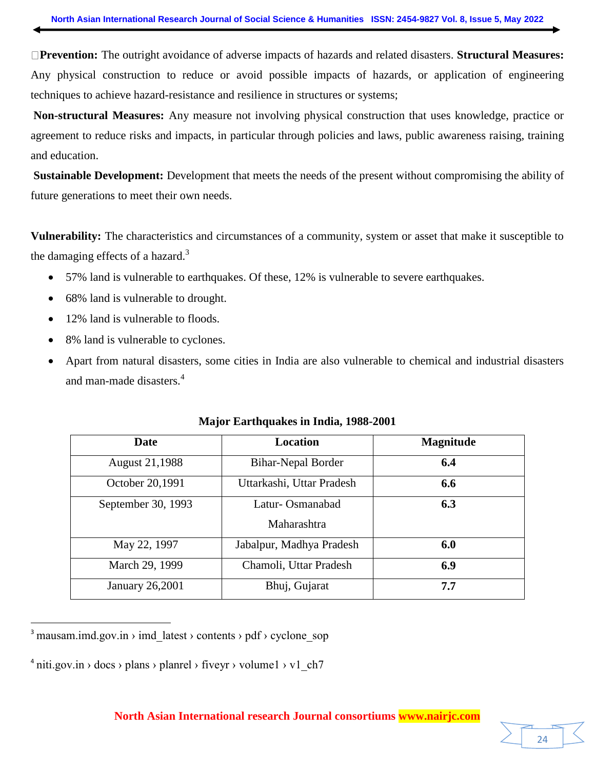**Prevention:** The outright avoidance of adverse impacts of hazards and related disasters. **Structural Measures:**  Any physical construction to reduce or avoid possible impacts of hazards, or application of engineering techniques to achieve hazard-resistance and resilience in structures or systems;

**Non-structural Measures:** Any measure not involving physical construction that uses knowledge, practice or agreement to reduce risks and impacts, in particular through policies and laws, public awareness raising, training and education.

**Sustainable Development:** Development that meets the needs of the present without compromising the ability of future generations to meet their own needs.

**Vulnerability:** The characteristics and circumstances of a community, system or asset that make it susceptible to the damaging effects of a hazard. $3$ 

- 57% land is vulnerable to earthquakes. Of these, 12% is vulnerable to severe earthquakes.
- 68% land is vulnerable to drought.
- 12% land is vulnerable to floods.
- 8% land is vulnerable to cyclones.
- Apart from natural disasters, some cities in India are also vulnerable to chemical and industrial disasters and man-made disasters. 4

| <b>Date</b>            | Location                  | <b>Magnitude</b> |
|------------------------|---------------------------|------------------|
| <b>August 21,1988</b>  | <b>Bihar-Nepal Border</b> | 6.4              |
| October 20,1991        | Uttarkashi, Uttar Pradesh | 6.6              |
| September 30, 1993     | Latur-Osmanabad           | 6.3              |
|                        | Maharashtra               |                  |
| May 22, 1997           | Jabalpur, Madhya Pradesh  | 6.0              |
| March 29, 1999         | Chamoli, Uttar Pradesh    | 6.9              |
| <b>January 26,2001</b> | Bhuj, Gujarat             | 7.7              |

#### **Major Earthquakes in India, 1988-2001**

 $\overline{\phantom{a}}$ 

24

<sup>&</sup>lt;sup>3</sup> mausam.imd.gov.in > imd\_latest > contents > pdf > cyclone\_sop

 $4 \text{ niti.gov.in} \rightarrow \text{does} \rightarrow \text{plane} \rightarrow \text{fiveyr} \rightarrow \text{volume1} \rightarrow \text{vl\_ch7}$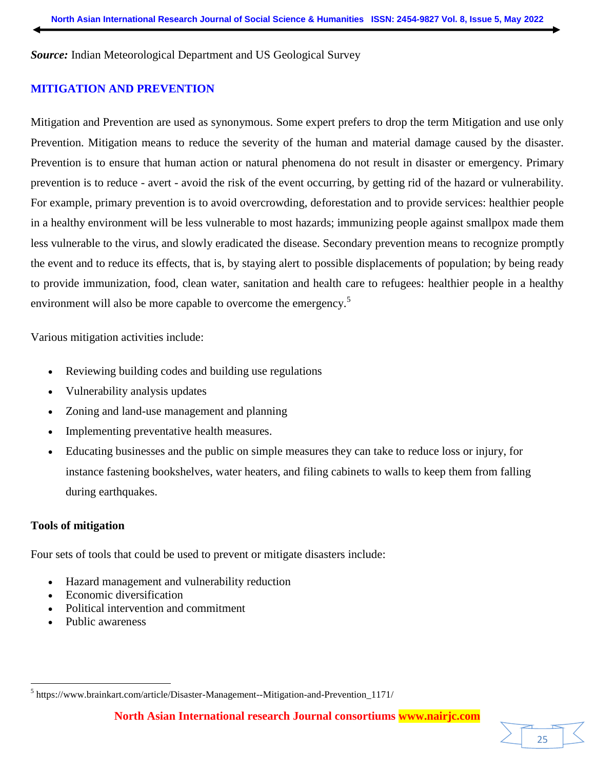*Source:* Indian Meteorological Department and US Geological Survey

## **MITIGATION AND PREVENTION**

Mitigation and Prevention are used as synonymous. Some expert prefers to drop the term Mitigation and use only Prevention. Mitigation means to reduce the severity of the human and material damage caused by the disaster. Prevention is to ensure that human action or natural phenomena do not result in disaster or emergency. Primary prevention is to reduce - avert - avoid the risk of the event occurring, by getting rid of the hazard or vulnerability. For example, primary prevention is to avoid overcrowding, deforestation and to provide services: healthier people in a healthy environment will be less vulnerable to most hazards; immunizing people against smallpox made them less vulnerable to the virus, and slowly eradicated the disease. Secondary prevention means to recognize promptly the event and to reduce its effects, that is, by staying alert to possible displacements of population; by being ready to provide immunization, food, clean water, sanitation and health care to refugees: healthier people in a healthy environment will also be more capable to overcome the emergency.<sup>5</sup>

Various mitigation activities include:

- Reviewing building codes and building use regulations
- Vulnerability analysis updates
- Zoning and land-use management and planning
- Implementing preventative health measures.
- Educating businesses and the public on simple measures they can take to reduce loss or injury, for instance fastening bookshelves, water heaters, and filing cabinets to walls to keep them from falling during earthquakes.

## **Tools of mitigation**

 $\overline{\phantom{a}}$ 

Four sets of tools that could be used to prevent or mitigate disasters include:

- Hazard management and vulnerability reduction
- Economic diversification
- Political intervention and commitment
- Public awareness

25

<sup>&</sup>lt;sup>5</sup> https://www.brainkart.com/article/Disaster-Management--Mitigation-and-Prevention\_1171/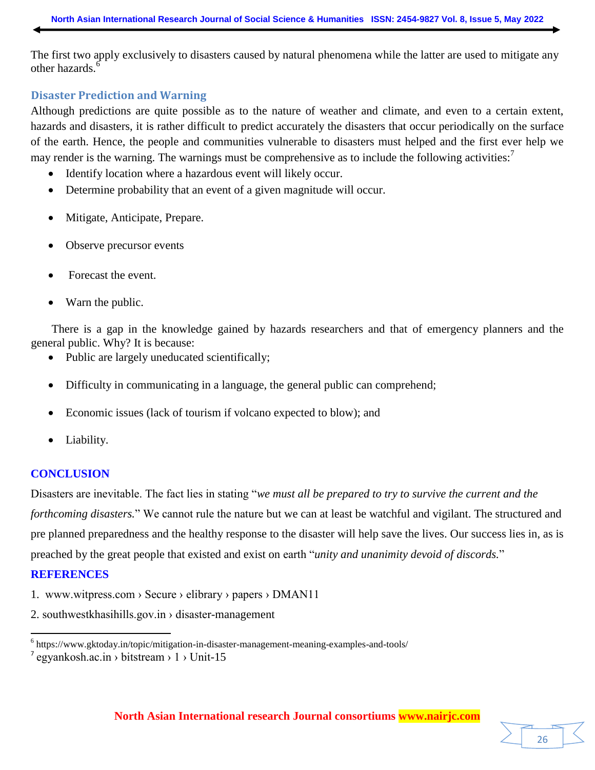The first two apply exclusively to disasters caused by natural phenomena while the latter are used to mitigate any other hazards.<sup>6</sup>

#### **Disaster Prediction and Warning**

Although predictions are quite possible as to the nature of weather and climate, and even to a certain extent, hazards and disasters, it is rather difficult to predict accurately the disasters that occur periodically on the surface of the earth. Hence, the people and communities vulnerable to disasters must helped and the first ever help we may render is the warning. The warnings must be comprehensive as to include the following activities: $\frac{7}{1}$ 

- Identify location where a hazardous event will likely occur.
- Determine probability that an event of a given magnitude will occur.
- Mitigate, Anticipate, Prepare.
- Observe precursor events
- Forecast the event.
- Warn the public.

There is a gap in the knowledge gained by hazards researchers and that of emergency planners and the general public. Why? It is because:

- Public are largely uneducated scientifically;
- Difficulty in communicating in a language, the general public can comprehend;
- Economic issues (lack of tourism if volcano expected to blow); and
- Liability.

## **CONCLUSION**

Disasters are inevitable. The fact lies in stating "*we must all be prepared to try to survive the current and the forthcoming disasters.*" We cannot rule the nature but we can at least be watchful and vigilant. The structured and pre planned preparedness and the healthy response to the disaster will help save the lives. Our success lies in, as is preached by the great people that existed and exist on earth "*unity and unanimity devoid of discords.*"

## **REFERENCES**

l

- 1. www.witpress.com › Secure › elibrary › papers › DMAN11
- 2. [southwestkhasihills.gov.in › disaster](https://www.google.co.in/url?esrc=s&q=&rct=j&sa=U&url=https://southwestkhasihills.gov.in/disaster-management/&ved=2ahUKEwjD5su3_cf3AhX9zTgGHRNZAWMQFnoECAMQAg&usg=AOvVaw18QFQvKq5S1v1XSp_6ZLXg)-management



<sup>&</sup>lt;sup>6</sup> https://www.gktoday.in/topic/mitigation-in-disaster-management-meaning-examples-and-tools/

 $^7$  egyankosh.ac.in > bitstream > 1 > Unit-15